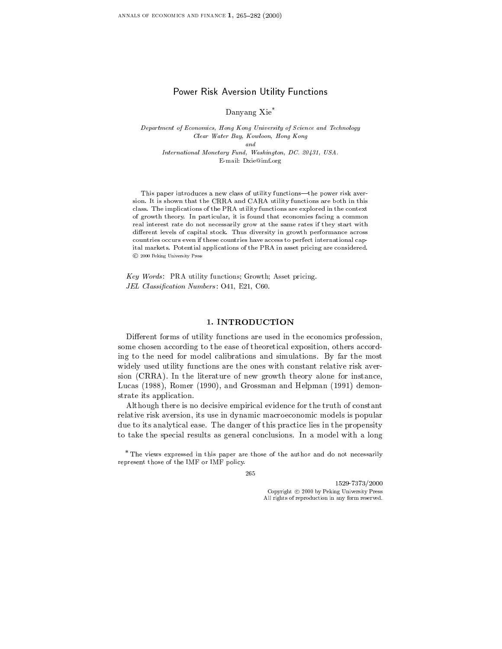# Power Risk Aversion Utility Functions

Danyang Xie\*

Department of Economics, Hong Kong University of Science and Technology Clear Water Bay, Kowloon, Hong Kong and International Monetary Fund, Washington, DC. 20431, USA.  $\blacksquare$  -mail:  $\blacksquare$  -mail:  $\blacksquare$  -mail:  $\blacksquare$ 

This paper introduces a new class of utility functions-the power risk aversion. It is shown that the CRRA and CARA utility functions are both in this class. The implications of the PRA utility functions are explored in the context of growth theory. In particular, it is found that economies facing a common real interest rate do not necessarily grow at the same rates if they start with different levels of capital stock. Thus diversity in growth performance across countries occurs even if these countries have access to perfect international capital markets. Potential applications of the PRA in asset pricing are considered. © 2000 Peking University Press

2000 Peking University Press, 2001<br>2007 - Words: PRA utility funct<br>2008 - Classification Numbers Key Words : PRA utility functions; Growth; Asset pricing. JEL Classification Numbers: O41, E21, C60.

#### 1. INTRODUCTION

Different forms of utility functions are used in the economics profession, some chosen according to the ease of theoretical exposition, others according to the need for model calibrations and simulations. By far the most widely used utility functions are the ones with constant relative risk aver sion (CRRA). In the literature of new growth theory alone for instance, Lucas (1988), Romer (1990), and Grossman and Helpman (1991) demonstrate its application.

Although there is no decisive empirical evidence for the truth of constant relative risk aversion, its use in dynamic macroeconomic models is popular due to its analytical ease. The danger of this practice lies in the propensity to take the special results as general conclusions. In a model with a long

\* The views expressed in thispaper are those of the author and do not necessarily  $r_{\text{max}}$  the IMF or IMF or IMF policy.

1529-7373/2000 Copyright  $\odot$  2000 by Peking University Press All rights of reproduction in any form reserved.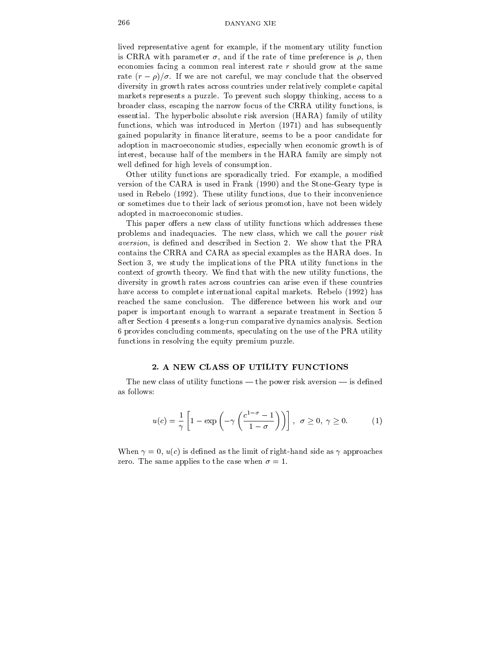lived representative agent for example, if the momentary utility function is CRRA with parameter  $\sigma$ , and if the rate of time preference is  $\rho$ , then economies facing a common real interest rate  $r$  should grow at the same rate  $(r - \rho)/\sigma$ . If we are not careful, we may conclude that the observed diversity in growth rates across countries under relatively complete capital markets represents a puzzle. To prevent such sloppy thinking, access to a broader class, escaping the narrow focus ofthe CRRA utility functions, is essential. The hyperbolic absolute risk aversion (HARA) family of utility functions, which was introduced in Merton (1971) and has subsequently gained popularity in finance literature, seems to be a poor candidate for adoption in macroeconomic studies, especially when economic growth is of interest, because half of the members in the HARA family are simply not well defined for high levels of consumption.

Other utility functions are sporadically tried. For example, a modified version of the CARA is used in Frank (1990) and the Stone-Geary type is used in Rebelo (1992). These utility functions, due to their inconvenience or sometimes due to their lack of serious promotion, have not been widely adopted in macroeconomic studies.

This paper offers a new class of utility functions which addresses these problems and inadequacies. The new class, which we call the power risk aversion, is defined and described in Section 2. We show that the PRA contains the CRRA and CARA as special examples as the HARA does. In Section 3, we study the implications of the PRA utility functions in the context of growth theory. We find that with the new utility functions, the diversity in growth rates across countries can arise even if these countries have access to complete international capital markets. Rebelo (1992) has reached the same conclusion. The difference between his work and our paper is important enough to warrant a separate treatment in Section 5 after Section 4presents a long-run comparative dynamics analysis. Section 6 provides concluding comments, speculating on the use of the PRA utility functions in resolving the equity premium puzzle.

#### 2. A NEW CLASS OF UTILITY FUNCTIONS

The new class of utility functions — the power risk aversion — is defined

$$
u(c) = \frac{1}{\gamma} \left[ 1 - \exp\left( -\gamma \left( \frac{c^{1-\sigma} - 1}{1 - \sigma} \right) \right) \right], \ \ \sigma \ge 0, \ \gamma \ge 0. \tag{1}
$$

When  $\gamma = 0$ ,  $u(c)$  is defined as the limit of right-hand side as  $\gamma$  approaches zero. The same applies to the case when  $\sigma = 1$ .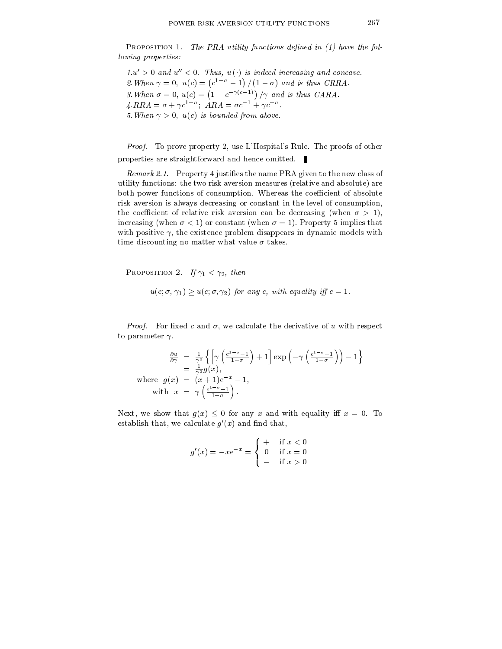PROPOSITION 1. The PRA utility functions defined in  $(1)$  have the following properties:

 $1.u' > 0$  and  $u'' < 0$ . Thus,  $u(\cdot)$  is indeed increasing and concave. 2. When the contract of the contract of the contract of the contract of the contract of the contract of the co  $c^{\perp}$  = 1 | | | 1 = 0 | and is thus  $\sim$  . The contract of the contract of the contract of the contract of the contract of the contract of the contract of the contract of the contract of the contract of the contract of the contract of the contract of the co  $\cdots$ 3. When  $\sigma = 0$ ,  $u(c) = (1 - e^{-\gamma(c-1)})/\gamma$  and is thus CARA.  $A \cdot \mathbf{R} \cdot \mathbf{R} = 0 + \gamma c^2$ ;  $A \mathbf{R} \cdot \mathbf{R} = 0$  c  $\gamma + \gamma c$ 5. When  $\gamma > 0$ ,  $u(c)$  is bounded from above.

*Proof.* To prove property 2, use L'Hospital's Rule. The proofs of other properties are straightforward and hence omitted.

Remark 2.1. Property 4 justifies the name PRA given to the new class of utility functions: the two risk aversion measures (relative and absolute) are both power functions of consumption. Whereas the coefficient of absolute risk aversion is always decreasing or constant in the level of consumption, the coefficient of relative risk aversion can be decreasing (when  $\sigma > 1$ ), increasing (when  $\sigma < 1$ ) or constant (when  $\sigma = 1$ ). Property 5 implies that with positive  $\gamma$ , the existence problem disappears in dynamic models with time discounting no matter what value  $\sigma$  takes.

PROPOSITION 2. If  $\gamma_1 < \gamma_2$ , then

$$
u(c; \sigma, \gamma_1) \geq u(c; \sigma, \gamma_2)
$$
 for any c, with equality iff  $c = 1$ .

*Proof.* For fixed c and  $\sigma$ , we calculate the derivative of u with respect

$$
\frac{\partial u}{\partial \gamma} = \frac{1}{\gamma^2} \left\{ \left[ \gamma \left( \frac{c^{1-\sigma}-1}{1-\sigma} \right) + 1 \right] \exp \left( -\gamma \left( \frac{c^{1-\sigma}-1}{1-\sigma} \right) \right) - 1 \right\}
$$
  
\n=  $\frac{1}{\gamma^2} g(x),$   
\nwhere  $g(x) = (x+1)e^{-x} - 1,$   
\nwith  $x = \gamma \left( \frac{c^{1-\sigma}-1}{1-\sigma} \right).$ 

Next, we show that  $g(x) \leq 0$  for any x and with equality iff  $x = 0$ . To establish that, we calculate  $q(x)$  and find that,

$$
g'(x) = -xe^{-x} = \begin{cases} + & \text{if } x < 0 \\ 0 & \text{if } x = 0 \\ - & \text{if } x > 0 \end{cases}
$$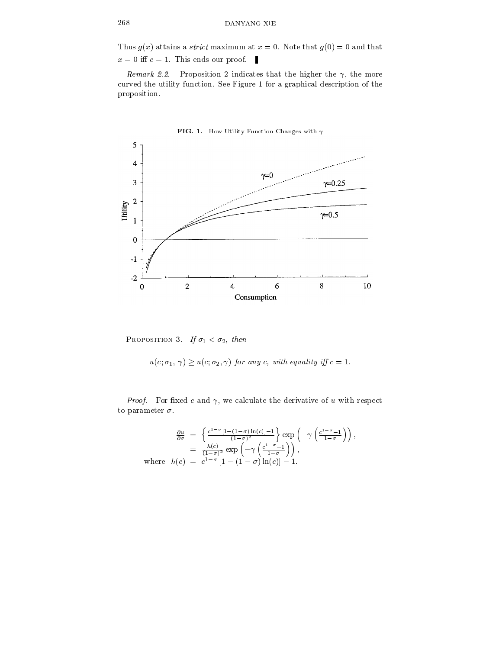Thus  $g(x)$  attains a *strict* maximum at  $x = 0$ . Note that  $g(0) = 0$  and that  $x = 0$  iff  $c = 1$ . This ends our proof.

Remark 2.2. Proposition 2 indicates that the higher the  $\gamma$ , the more curved the utility function. See Figure 1 for a graphical description of the proposition.



PROPOSITION 3. If  $\sigma_1 < \sigma_2$ , then

 $u(c; \sigma_1, \gamma) \ge u(c; \sigma_2, \gamma)$  for any c, with equality iff  $c = 1$ .<br>Proof. For fixed c and  $\gamma$ , we calculate the derivative of u with respect to parameter  $\sigma$ .

$$
\frac{\partial u}{\partial \sigma} = \left\{ \frac{c^{1-\sigma} [1-(1-\sigma)\ln(c)]-1}{(1-\sigma)^2} \right\} \exp\left(-\gamma \left(\frac{c^{1-\sigma}-1}{1-\sigma}\right)\right),
$$
  
\n
$$
= \frac{h(c)}{(1-\sigma)^2} \exp\left(-\gamma \left(\frac{c^{1-\sigma}-1}{1-\sigma}\right)\right),
$$
  
\nwhere  $h(c) = c^{1-\sigma} [1-(1-\sigma)\ln(c)]-1.$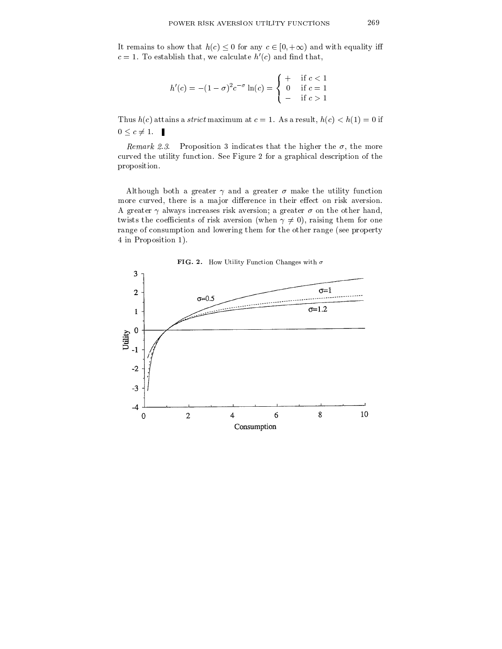It remains to show that  $h(c) \leq 0$  for any  $c \in [0, +\infty)$  and with equality iff  $c = 1$ . To establish that, we calculate  $h'(c)$  and find that,

$$
h'(c) = -(1 - \sigma)^2 c^{-\sigma} \ln(c) = \begin{cases} + & \text{if } c < 1 \\ 0 & \text{if } c = 1 \\ - & \text{if } c > 1 \end{cases}
$$

Thus  $h(c)$  attains a *strict* maximum at  $c = 1$ . As a result,  $h(c) < h(1) = 0$  if  $0 \leq c \neq 1$ .

Remark 2.3. Proposition 3 indicates that the higher the  $\sigma$ , the more curved the utility function. See Figure 2 for a graphical description of the proposition.

Although both a greater  $\gamma$  and a greater  $\sigma$  make the utility function more curved, there is a major difference in their effect on risk aversion. A greater  $\gamma$  always increases risk aversion; a greater  $\sigma$  on the other hand, twists the coefficients of risk aversion (when  $\gamma \neq 0$ ), raising them for one range of consumption and lowering them for the other range (see property 4 in Proposition 1).

FIG. 2. How Utility Function Changes with  $\sigma$ 

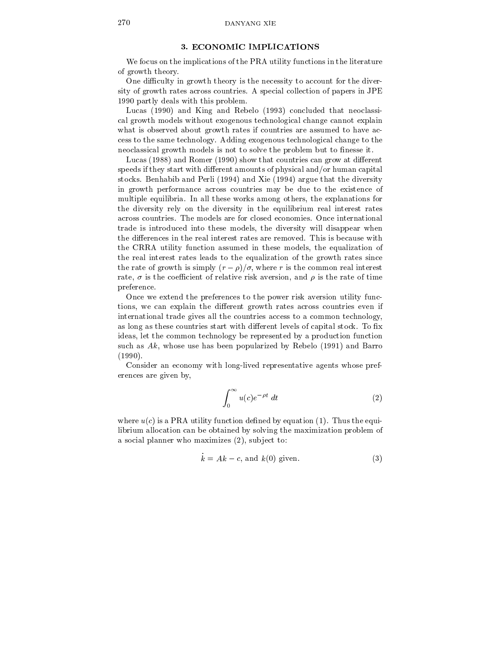### 3. ECONOMIC IMPLICATIONS

We focus on the implications of the PRA utility functions in the literature of growth theory.

One difficulty in growth theory is the necessity to account for the diversity of growth rates across countries. A special collection of papers in JPE 1990 partly deals with this problem.

Lucas (1990) and King and Rebelo (1993) concluded that neoclassical growth models without exogenous technological change cannot explain what is observed about growth rates if countries are assumed to have ac cess to the same technology. Adding exogenous technological change to the neoclassical growth models is not to solve the problem but to finesse it.

Lucas  $(1988)$  and Romer  $(1990)$  show that countries can grow at different speeds if they start with different amounts of physical and/or human capital stocks. Benhabib and Perli (1994) and Xie (1994) argue that the diversity in growth performance across countries may be due to the existence of multiple equilibria. In all these works among others, the explanations for the diversity rely on the diversity in the equilibrium real interest rates across countries. The models are for closed economies. Once international trade is introduced into these models, the diversity will disappear when the differences in the real interest rates are removed. This is because with the CRRA utility function assumed in these models, the equalization of the real interest rates leads to the equalization of the growth rates since the rate of growth is simply  $(r - \rho)/\sigma$ , where r is the common real interest rate,  $\sigma$  is the coefficient of relative risk aversion, and  $\rho$  is the rate of time preference.

Once we extend the preferences to the power risk aversion utility functions, we can explain the different growth rates across countries even if international trade gives all the countries access to a common technology, as long as these countries start with different levels of capital stock. To fix ideas, let the common technology be represented by a production function such as  $Ak$ , whose use has been popularized by Rebelo (1991) and Barro (1990).

Consider an economy with long-lived representative agents whose pref erences are given by,

$$
\int_0^\infty u(c)e^{-\rho t} dt \tag{2}
$$

where  $u(c)$  is a PRA utility function defined by equation (1). Thus the equilibrium allocation can be obtained by solving the maximization problem of a social planner who maximizes  $(2)$ , subject to:

$$
\dot{k} = Ak - c, \text{ and } k(0) \text{ given.} \tag{3}
$$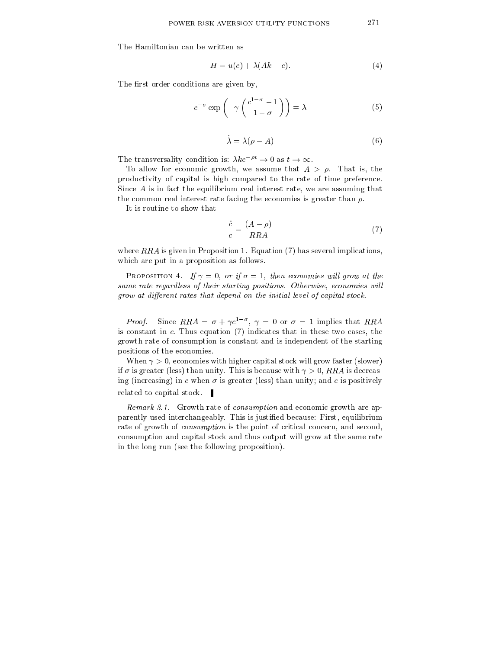The Hamiltonian can be written as

$$
H = u(c) + \lambda(Ak - c). \tag{4}
$$

The first order conditions are given by,

$$
c^{-\sigma} \exp\left(-\gamma \left(\frac{c^{1-\sigma}-1}{1-\sigma}\right)\right) = \lambda
$$
 (5)

$$
\dot{\lambda} = \lambda(\rho - A) \tag{6}
$$

The transversality condition is:  $\lambda k e^{-\rho t} \to 0$  as  $t \to \infty$ .

To allow for economic growth, we assume that  $A > \rho$ . That is, the productivity of capital is high compared to the rate of time preference. Since A is in fact the equilibrium real interest rate, we are assuming that the common real interest rate facing the economies is greater than  $\rho$ .

It is routine to show that

$$
\frac{\dot{c}}{c} = \frac{(A - \rho)}{RRA} \tag{7}
$$

where  $RRA$  is given in Proposition 1. Equation (7) has several implications, which are put in a proposition as follows.

PROPOSITION 4. If  $\gamma = 0$ , or if  $\sigma = 1$ , then economies will grow at the same rate regardless of their starting positions. Otherwise, economies will grow at different rates that depend on the initial level of capital stock.

Proof. Since  $R_{\text{R}} = 0 + \gamma c$ ,  $\gamma = 0$  or  $\theta = 1$  implies that  $R_{\text{R}}$ is constant in  $c$ . Thus equation  $(7)$  indicates that in these two cases, the growth rate of consumption is constant and is independent of the starting positions of the economies.

When  $\gamma > 0$ , economies with higher capital stock will grow faster (slower) if  $\sigma$  is greater (less) than unity. This is because with  $\gamma > 0$ , RRA is decreasing (increasing) in c when  $\sigma$  is greater (less) than unity; and c is positively related to capital stock.

Remark 3.1. Growth rate of consumption and economic growth are apparently used interchangeably. This is justied because: First, equilibrium rate of growth of *consumption* is the point of critical concern, and second, consumption and capital stock and thus output will grow at the same rate in the long run (see the following proposition).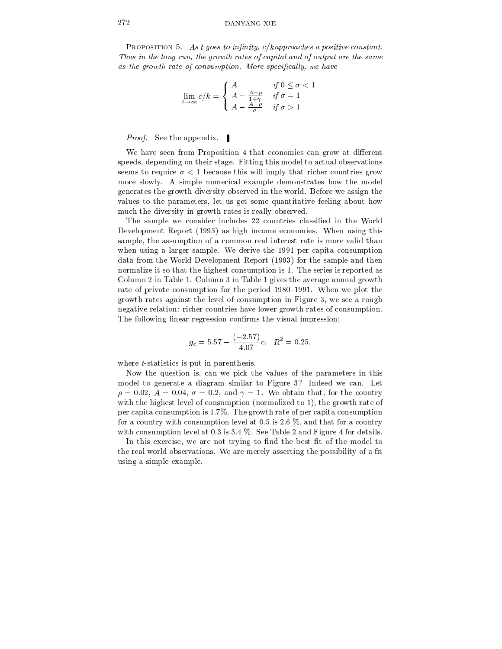### 272 DANYANG XIE

PROPOSITION 5. As t goes to infinity,  $c/k$  approaches a positive constant. Thus in the long run, the growth rates of capital and of output are the same as the growth rate of consumption. More specifically, we have

$$
\lim_{t \to \infty} c/k = \begin{cases} A & \text{if } 0 \le \sigma < 1 \\ A - \frac{A - \rho}{1 + \gamma} & \text{if } \sigma = 1 \\ A - \frac{A - \rho}{\sigma} & \text{if } \sigma > 1 \end{cases}
$$

*Proof.* See the appendix.  $\blacksquare$ 

We have seen from Proposition 4 that economies can grow at different speeds, depending on their stage. Fitting this model to actual observations seems to require  $\sigma < 1$  because this will imply that richer countries grow more slowly. A simple numerical example demonstrates how the model generates the growth diversity observed in the world. Before we assign the values to the parameters, let us get some quantitative feeling about how much the diversity in growth rates is really observed.

The sample we consider includes 22 countries classied in the World Development Report (1993) as high income economies. When using this sample, the assumption of a common real interest rate is more valid than when using a larger sample. We derive the 1991 per capita consumption data from the World Development Report (1993) for the sample and then normalize it so that the highest consumption is 1. The series is reported as Column 2in Table 1. Column 3 in Table 1 gives the average annual growth rate of private consumption for the period 1980–1991. When we plot the growth rates against the level of consumption in Figure 3, we see a rough negative relation: richer countries have lower growth rates of consumption. The following linear regression confirms the visual impression:

$$
g_c = 5.57 - \frac{(-2.57)}{4.07}c, \ \ R^2 = 0.25,
$$

where *t*-statistics is put in parenthesis.

Now the question is, can we pick the values of the parameters in this model to generate a diagram similar to Figure 3? Indeed we can. Let  $\rho = 0.02$ ,  $A = 0.04$ ,  $\sigma = 0.2$ , and  $\gamma = 1$ . We obtain that, for the country with the highest level of consumption (normalized to 1), the growth rate of per capita consumption is 1.7%. The growth rate of per capita consumption for a country with consumption level at 0.5 is 2.6  $\%$ , and that for a country with consumption level at 0.3 is 3.4 %. See Table 2 and Figure 4 for details.

In this exercise, we are not trying to find the best fit of the model to the real world observations. We are merely asserting the possibility of a fit using a simple example.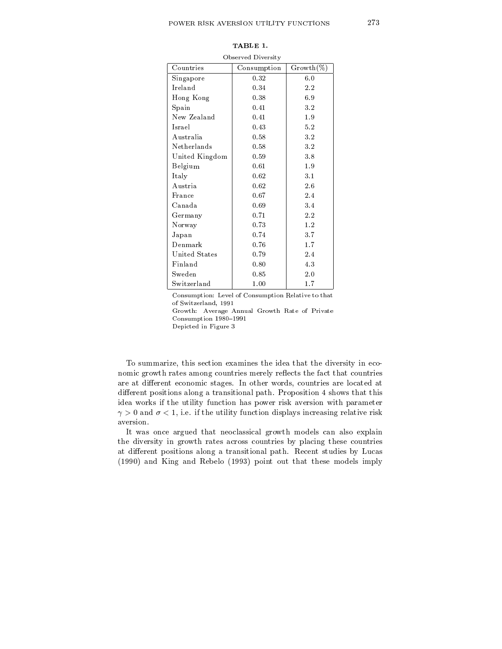| Observed Diversity |             |              |  |  |  |  |
|--------------------|-------------|--------------|--|--|--|--|
| Countries          | Consumption | $Growth(\%)$ |  |  |  |  |
| Singapore          | 0.32        | 6.0          |  |  |  |  |
| Ireland            | 0.34        | 2.2          |  |  |  |  |
| Hong Kong          | 0.38        | 6.9          |  |  |  |  |
| Spain              | 0.41        | 3.2          |  |  |  |  |
| New Zealand        | 0.41        | 1.9          |  |  |  |  |
| Israel             | 0.43        | 5.2          |  |  |  |  |
| Australia          | 0.58        | 3.2          |  |  |  |  |
| Netherlands        | 0.58        | 32           |  |  |  |  |
| United Kingdom     | 0.59        | 3.8          |  |  |  |  |
| Belgium            | 0.61        | 1.9          |  |  |  |  |
| Italy              | 0.62        | 3.1          |  |  |  |  |
| Austria            | 0.62        | 2.6          |  |  |  |  |
| France             | 0.67        | 2.4          |  |  |  |  |
| Canada             | 0.69        | 3.4          |  |  |  |  |
| Germany            | 0.71        | 2.2          |  |  |  |  |
| Norway             | 0.73        | 1.2          |  |  |  |  |
| Japan              | 0.74        | 3.7          |  |  |  |  |
| Denmark            | 0.76        | 1.7          |  |  |  |  |
| United States      | 0.79        | 2.4          |  |  |  |  |
| Finland            | 0.80        | 4.3          |  |  |  |  |
| Sweden             | 0.85        | 2.0          |  |  |  |  |
| Switzerland        | 1.00        | 1.7          |  |  |  |  |

TABLE 1.

Consumption: Level of Consumption Relative to that of Switzerland, 1991 Growth: Average Annual Growth Rate of Private Consumption 1980-1991

Depicted in Figure 3

To summarize, this section examines the idea that the diversity in eco nomic growth rates among countries merely reflects the fact that countries are at different economic stages. In other words, countries are located at different positions along a transitional path. Proposition 4 shows that this idea works if the utility function has power risk aversion with parameter  $\gamma > 0$  and  $\sigma < 1$ , i.e. if the utility function displays increasing relative risk aversion.

It was once argued that neoclassical growth models can also explain the diversity in growth rates across countries by placing these countries at different positions along a transitional path. Recent studies by Lucas (1990) and King and Rebelo (1993) point out that these models imply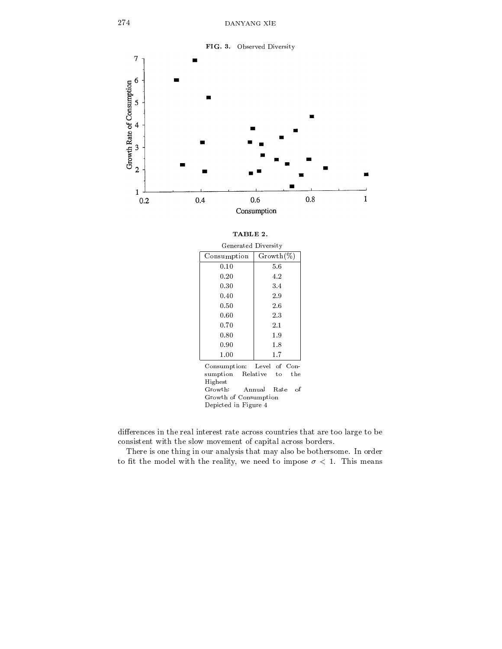

| TABLE 2.                                                                                                              |                                               |  |
|-----------------------------------------------------------------------------------------------------------------------|-----------------------------------------------|--|
| Generated Diversity                                                                                                   |                                               |  |
| Consumption                                                                                                           | $Growth(\%)$                                  |  |
| 0.10                                                                                                                  | 5.6                                           |  |
| 0.20                                                                                                                  | 4.2                                           |  |
| 0.30                                                                                                                  | 3.4                                           |  |
| 0.40                                                                                                                  | 2.9                                           |  |
| 0.50                                                                                                                  | 2.6                                           |  |
| 0.60                                                                                                                  | 2.3                                           |  |
| 0.70                                                                                                                  | 2.1                                           |  |
| 0.80                                                                                                                  | 1.9                                           |  |
| 0.90                                                                                                                  | $1.8\,$                                       |  |
| 1.00                                                                                                                  | $1.7\,$                                       |  |
| Consumption: Level of Con-<br>sumption<br>Highest<br>${\rm Growth:}$<br>Growth of Consumption<br>Depicted in Figure 4 | Relative<br>the<br>to<br>Annual<br>Rate<br>of |  |

differences in the real interest rate across countries that are too large to be consistent with the slow movement of capital across borders.

There is one thing in our analysis that may also be bothersome. In order to fit the model with the reality, we need to impose  $\sigma$  < 1. This means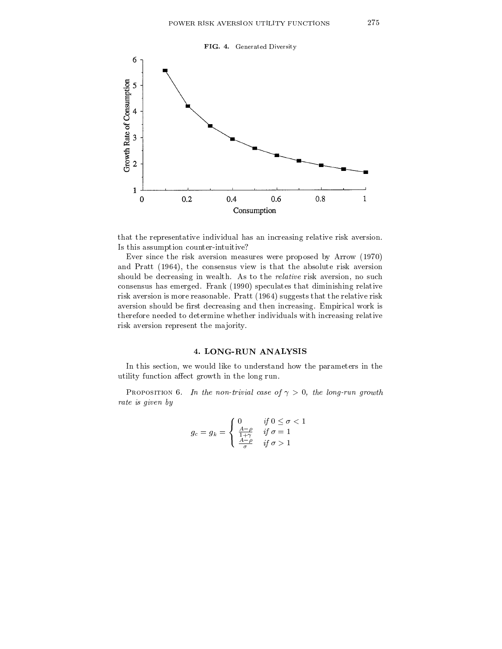

that the representative individual has an increasing relative risk aversion. Is this assumption counter-intuitive?

Ever since the risk aversion measures were proposed by Arrow (1970) and Pratt (1964), the consensus view is that the absolute risk aversion should be decreasing in wealth. As to the relative risk aversion, no such consensus has emerged. Frank (1990) speculates that diminishing relative risk aversion is more reasonable. Pratt (1964) suggests that the relative risk aversion should be first decreasing and then increasing. Empirical work is therefore needed to determine whether individuals with increasing relative risk aversion represent the majority.

# 4. LONG-RUN ANALYSIS

In this section, we would like to understand how the parameters in the utility function affect growth in the long run.

PROPOSITION 6. In the non-trivial case of  $\gamma > 0$ , the long-run growth rate is given by

$$
g_c = g_k = \begin{cases} 0 & \text{if } 0 \le \sigma < 1 \\ \frac{A-\rho}{1+\gamma} & \text{if } \sigma = 1 \\ \frac{A-\rho}{\sigma} & \text{if } \sigma > 1 \end{cases}
$$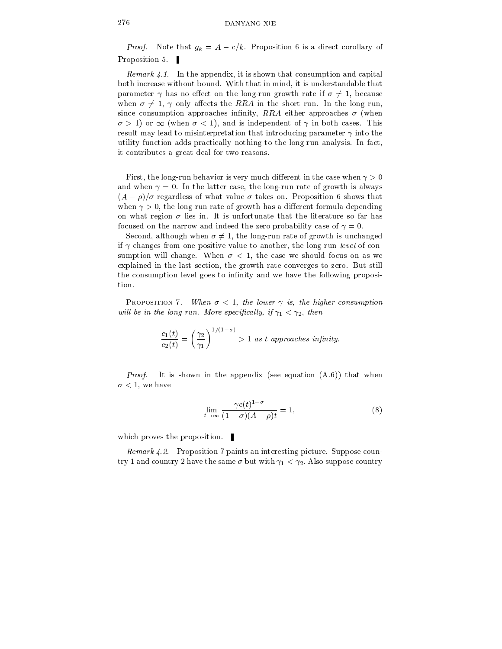## 276 DANYANG XIE

*Proof.* Note that  $g_k = A - c/k$ . Proposition 6 is a direct corollary of Proposition 5.

Remark  $\angle 1$ . In the appendix, it is shown that consumption and capital both increase without bound. With that in mind, it is understandable that parameter  $\gamma$  has no effect on the long-run growth rate if  $\sigma \neq 1$ , because when  $\sigma \neq 1$ ,  $\gamma$  only affects the RRA in the short run. In the long run, since consumption approaches infinity, RRA either approaches  $\sigma$  (when  $\sigma > 1$  or  $\infty$  (when  $\sigma < 1$ ), and is independent of  $\gamma$  in both cases. This result may lead to misinterpretation that introducing parameter  $\gamma$  into the utility function adds practically nothing to the long-run analysis. In fact, it contributes a great deal for two reasons.

First, the long-run behavior is very much different in the case when  $\gamma > 0$ and when  $\gamma = 0$ . In the latter case, the long-run rate of growth is always  $(A - \rho)/\sigma$  regardless of what value  $\sigma$  takes on. Proposition 6 shows that when  $\gamma > 0$ , the long-run rate of growth has a different formula depending on what region  $\sigma$  lies in. It is unfortunate that the literature so far has focused on the narrow and indeed the zero probability case of  $\gamma = 0$ .

Second, although when  $\sigma \neq 1$ , the long-run rate of growth is unchanged if  $\gamma$  changes from one positive value to another, the long-run *level* of consumption will change. When  $\sigma$  < 1, the case we should focus on as we explained in the last section, the growth rate converges to zero. But still the consumption level goes to infinity and we have the following proposition.

PROPOSITION 7. When  $\sigma < 1$ , the lower  $\gamma$  is, the higher consumption will be in the long run. More specifically, if  $\gamma_1 < \gamma_2$ , then

$$
\frac{c_1(t)}{c_2(t)} = \left(\frac{\gamma_2}{\gamma_1}\right)^{1/(1-\sigma)} > 1 \text{ as } t \text{ approaches infinity.}
$$

Proof. It is shown in the appendix (see equation (A.6)) that when  $\sigma$  < 1, we have

$$
\lim_{t \to \infty} \frac{\gamma c(t)^{1-\sigma}}{(1-\sigma)(A-\rho)t} = 1,
$$
\n(8)

which proves the proposition.

Remark 4.2. Proposition 7 paints an interesting picture. Suppose coun try 1 and country 2 have the same  $\sigma$  but with  $\gamma_1 < \gamma_2$ . Also suppose country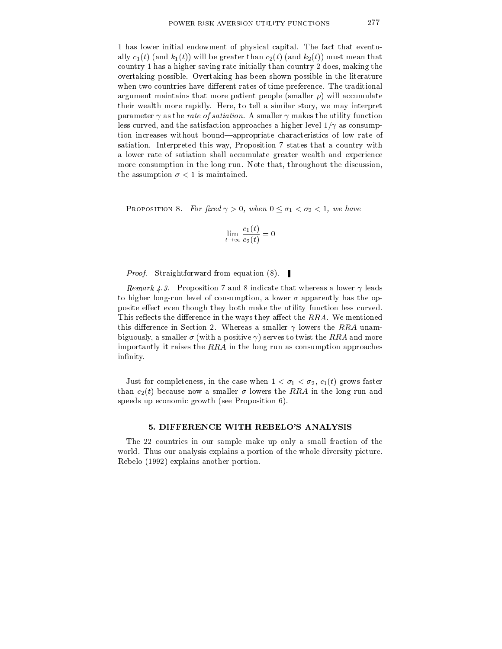1 has lower initial endowment of physical capital. The fact that eventually  $c_1(t)$  (and  $k_1(t)$ ) will be greater than  $c_2(t)$  (and  $k_2(t)$ ) must mean that country 1 has a higher saving rate initially than country 2 does, making the overtaking possible. Overtaking has been shown possible in the literature when two countries have different rates of time preference. The traditional argument maintains that more patient people (smaller  $\rho$ ) will accumulate their wealth more rapidly. Here, to tell a similar story, we may interpret parameter  $\gamma$  as the *rate of satiation*. A smaller  $\gamma$  makes the utility function less curved, and the satisfaction approaches a higher level  $1/\gamma$  as consumption increases without bound—appropriate characteristics of low rate of satiation. Interpreted this way, Proposition 7 states that a country with a lower rate of satiation shall accumulate greater wealth and experience more consumption in the long run. Note that, throughout the discussion, the assumption  $\sigma < 1$  is maintained.

PROPOSITION 8. For fixed  $\gamma > 0$ , when  $0 \leq \sigma_1 < \sigma_2 < 1$ , we have

$$
\lim_{t\to\infty}\frac{c_1(t)}{c_2(t)}=0
$$

Proof. Straightforward from equation (8).

Remark 4.3. Proposition 7 and 8 indicate that whereas a lower  $\gamma$  leads to higher long-run level of consumption, a lower  $\sigma$  apparently has the opposite effect even though they both make the utility function less curved. This reflects the difference in the ways they affect the RRA. We mentioned this difference in Section 2. Whereas a smaller  $\gamma$  lowers the RRA unambiguously, a smaller  $\sigma$  (with a positive  $\gamma$ ) serves to twist the RRA and more importantly it raises the RRA in the long run as consumption approaches infinity.

Just for completeness, in the case when  $1 < \sigma_1 < \sigma_2$ ,  $c_1(t)$  grows faster than  $c_2(t)$  because now a smaller  $\sigma$  lowers the RRA in the long run and speeds up economic growth (see Proposition 6).

#### 5. DIFFERENCE WITH REBELO'S ANALYSIS

The 22 countries in our sample make up only a small fraction of the world. Thus our analysis explains a portion of the whole diversity picture. Rebelo (1992) explains another portion.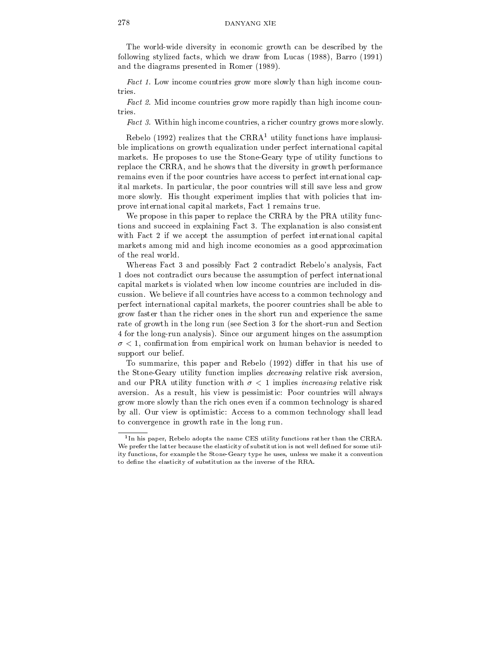The world-wide diversity in economic growth can be described by the following stylized facts, which we draw from Lucas (1988), Barro (1991) and the diagrams presented in Romer (1989).

Fact 1. Low income countries grow more slowly than high income countries.

Fact 2. Mid income countries grow more rapidly than high income countries

Fact 3. Within high income countries, a richer country grows more slowly.

Rebelo (1992) realizes that the  $CRRA<sup>1</sup>$  utility functions have implausible implications on growth equalization under perfect international capital markets. He proposes to use the Stone-Geary type of utility functions to replace the CRRA, and he shows that the diversity in growth performance remains even if the poor countries have access to perfect international capital markets. In particular, the poor countries will still save less and grow more slowly. His thought experiment implies that with policies that improve international capital markets, Fact 1 remains true.

We propose in this paper to replace the CRRA by the PRA utility functions and succeed in explaining Fact 3. The explanation is also consistent with Fact 2 if we accept the assumption of perfect international capital markets among mid and high income economies as a good approximation of the real world.

Whereas Fact 3 and possibly Fact 2 contradict Rebelo's analysis, Fact 1 does not contradict ours because the assumption of perfect international capital markets is violated when low income countries are included in discussion. We believe if allcountries have access to a common technology and perfect international capital markets, the poorer countries shall be able to grow faster than the richer ones in the short run and experience the same rate of growth in the long run (see Section 3 for the short-run and Section 4 for the long-run analysis). Since our argument hinges on the assumption  $\sigma$  < 1, confirmation from empirical work on human behavior is needed to support our belief.

To summarize, this paper and Rebelo (1992) differ in that his use of the Stone-Geary utility function implies decreasing relative risk aversion, and our PRA utility function with  $\sigma < 1$  implies *increasing* relative risk aversion. As a result, his view is pessimistic: Poor countries will always grow more slowly than the rich oneseven if a common technology is shared by all. Our view is optimistic: Access to a common technology shall lead to convergence in growth rate in the long run.

<sup>1</sup> In his paper, Rebelo adopts the name CES utility functions rather than the CRRA. We prefer the latter because the elasticity of substitution is not well defined for some utility functions, for example the Stone-Geary type he uses, unless we make it a convention to define the elasticity of substitution as the inverse of the RRA.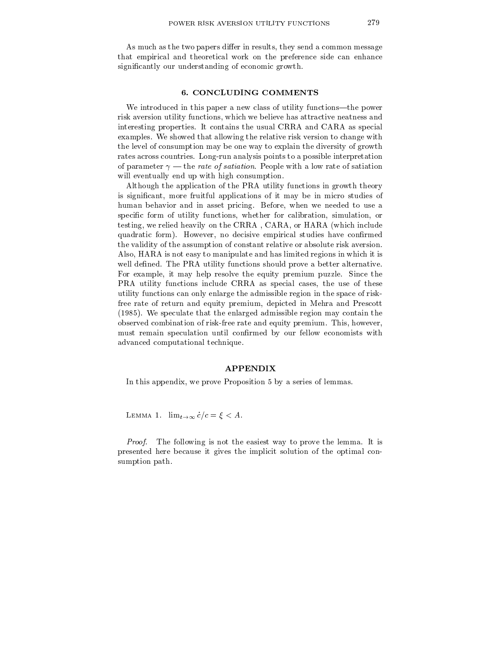As much as the two papers differ in results, they send a common message that empirical and theoretical work on the preference side can enhance significantly our understanding of economic growth.

### 6. CONCLUDING COMMENTS

We introduced in this paper a new class of utility functions-the power risk aversion utility functions, which we believe has attractive neatness and interesting properties. It contains the usual CRRA and CARA as special examples. We showed that allowing the relative risk version to change with the level of consumption may be one way to explain the diversity of growth rates across countries. Long-run analysis points to a possible interpretation of parameter  $\gamma$  — the *rate of satiation*. People with a low rate of satiation will eventually end up with high consumption.

Although the application of the PRA utility functions in growth theory is signicant, more fruitful applications of it may be in micro studies of human behavior and in asset pricing. Before, when we needed to use a specific form of utility functions, whether for calibration, simulation, or testing, we relied heavily on the CRRA , CARA, or HARA (which include quadratic form). However, no decisive empirical studies have confirmed the validity of the assumption of constant relative or absolute risk aversion. Also, HARA is not easy to manipulate and has limited regions in which it is well defined. The PRA utility functions should prove a better alternative. For example, it may help resolve the equity premium puzzle. Since the PRA utility functions include CRRA as special cases, the use of these utility functions can only enlarge the admissible region in the space of riskfree rate of return and equity premium, depicted in Mehra and Prescott (1985). We speculate that the enlarged admissible region may contain the observed combination of risk-free rate and equity premium. This, however, must remain speculation until confirmed by our fellow economists with advanced computational technique.

#### APPENDIX

In this appendix, we prove Proposition 5 by a series of lemmas.

LEMMA 1.  $\lim_{t\to\infty} c/c = \xi < A.$ 

Proof. The following is not the easiest way to prove the lemma. It is presented here because it gives the implicit solution of the optimal con sumption path.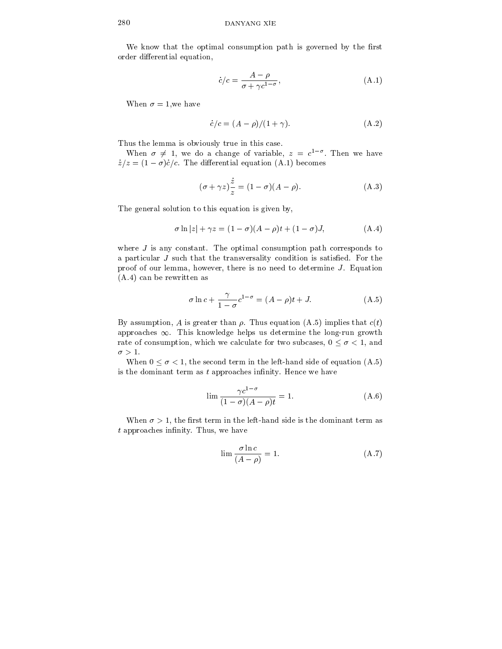We know that the optimal consumption path is governed by the first order differential equation,

$$
\dot{c}/c = \frac{A - \rho}{\sigma + \gamma c^{1 - \sigma}},\tag{A.1}
$$

When  $\sigma = 1$ , we have

$$
\dot{c}/c = (A - \rho)/(1 + \gamma). \tag{A.2}
$$

Thus the lemma is obviously true in this case.

when  $o \neq 1$ , we do a change of variable,  $z = c$  . Then we have  $\dot{z}/z = (1 - \sigma)\dot{c}/c$ . The differential equation (A.1) becomes

$$
(\sigma + \gamma z) \frac{\dot{z}}{z} = (1 - \sigma)(A - \rho). \tag{A.3}
$$

The general solution to this equation is given by,

$$
\sigma \ln|z| + \gamma z = (1 - \sigma)(A - \rho)t + (1 - \sigma)J, \tag{A.4}
$$

where  $J$  is any constant. The optimal consumption path corresponds to a particular  $J$  such that the transversality condition is satisfied. For the proof of our lemma, however, there is no need to determine  $J$ . Equation (A.4) can be rewritten as

$$
\sigma \ln c + \frac{\gamma}{1 - \sigma} c^{1 - \sigma} = (A - \rho)t + J. \tag{A.5}
$$

By assumption, A is greater than  $\rho$ . Thus equation (A.5) implies that  $c(t)$ approaches  $\infty$ . This knowledge helps us determine the long-run growth rate of consumption, which we calculate for two subcases,  $0 \le \sigma < 1$ , and  $\sigma > 1.$ 

When  $0 \le \sigma < 1$ , the second term in the left-hand side of equation (A.5) is the dominant term as  $t$  approaches infinity. Hence we have

$$
\lim \frac{\gamma c^{1-\sigma}}{(1-\sigma)(A-\rho)t} = 1.
$$
\n(A.6)

When  $\sigma > 1$ , the first term in the left-hand side is the dominant term as  $t$  approaches infinity. Thus, we have

$$
\lim \frac{\sigma \ln c}{(A - \rho)} = 1. \tag{A.7}
$$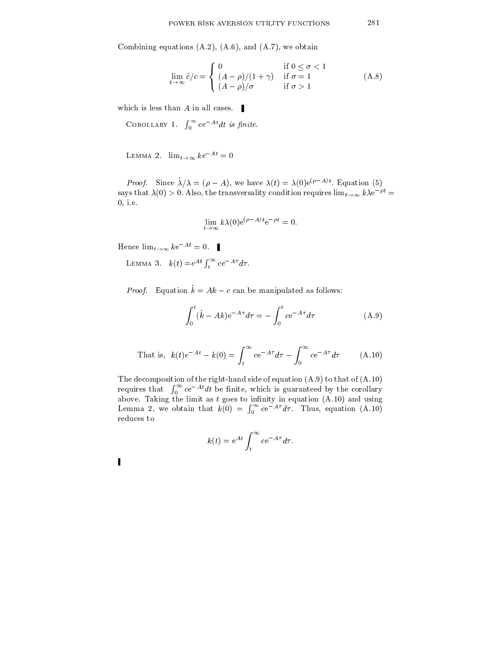Combining equations  $(A.2)$ ,  $(A.6)$ , and  $(A.7)$ , we obtain

$$
\lim_{t \to \infty} \dot{c}/c = \begin{cases} 0 & \text{if } 0 \le \sigma < 1 \\ (A - \rho)/(1 + \gamma) & \text{if } \sigma = 1 \\ (A - \rho)/\sigma & \text{if } \sigma > 1 \end{cases} \tag{A.8}
$$

which is less than  $A$  in all cases.

COROLLARY 1.  $\int_0^\infty c e^{-At} dt$  is finite.

LEMMA 2.  $\lim_{t\to\infty} ke^{-At} = 0$ 

Proof. Since  $\lambda/\lambda = (\rho - A)$ , we have  $\lambda(t) = \lambda(0)e^{(\rho - 1/t)}$ . Equation (5) says that  $\lambda(0) > 0$ . Also, the transversality condition requires  $\lim_{t\to\infty} k\lambda e^{-\rho t}$ 0; i.e.

$$
\lim_{t\to\infty} k\lambda(0) e^{(\rho-A)t} e^{-\rho t} = 0.
$$

Hence  $\lim_{t\to\infty} k e^{-At} = 0.$ 

LEMMA 3.  $k(t) = e^{At} \int_t^{\infty} c e^{-A\tau} d\tau$ .

*Proof.* Equation  $\dot{k} = Ak - c$  can be manipulated as follows:

$$
\int_0^t (\dot{k} - Ak) e^{-A\tau} d\tau = -\int_0^t c e^{-A\tau} d\tau \tag{A.9}
$$

That is, 
$$
k(t)e^{-At} - k(0) = \int_{t}^{\infty} ce^{-A\tau}d\tau - \int_{0}^{\infty} ce^{-A\tau}d\tau
$$
 (A.10)

The decomposition of the right-hand side of equation (A.9) to that of (A.10) requires that  $\int_0^\infty c e^{-At} dt$  be finite, which is guaranteed by the corollary above. Taking the minimum as the limit as the equation (I-10) and using  $\alpha$  $\mathcal{L}$  , we obtain that k(0)  $\mathcal{L}$  and the k(0)  $\mathcal{L}$  and that k(0)  $\mathcal{L}$  $\int_0^\infty c e^{-A\tau} d\tau$ . Thus, equation (A.10) reduces to

$$
k(t) = e^{At} \int_{t}^{\infty} c e^{-A\tau} d\tau.
$$